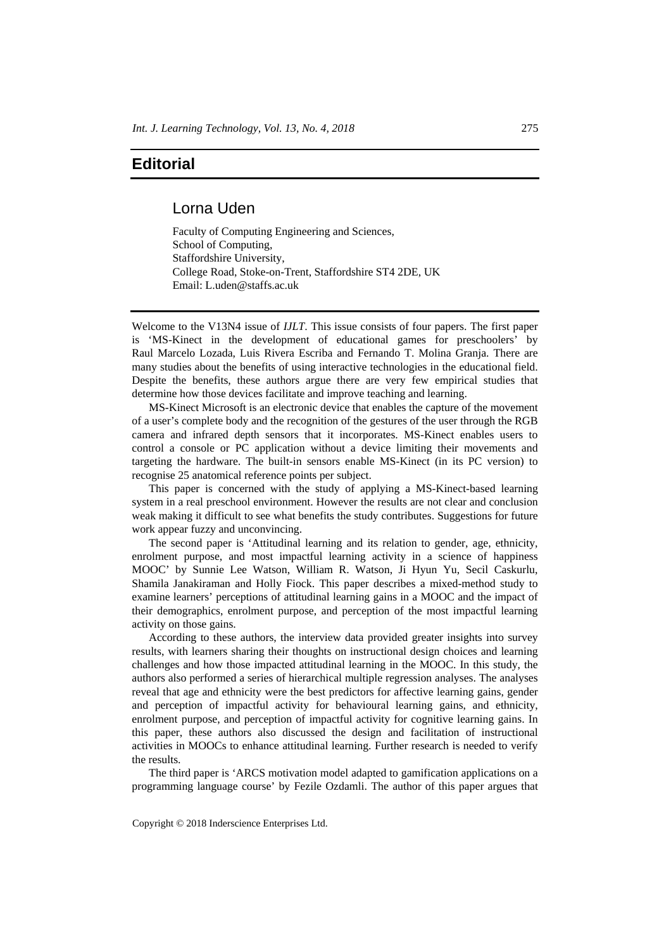## **Editorial**

## Lorna Uden

Faculty of Computing Engineering and Sciences, School of Computing, Staffordshire University, College Road, Stoke-on-Trent, Staffordshire ST4 2DE, UK Email: L.uden@staffs.ac.uk

Welcome to the V13N4 issue of *IJLT*. This issue consists of four papers. The first paper is 'MS-Kinect in the development of educational games for preschoolers' by Raul Marcelo Lozada, Luis Rivera Escriba and Fernando T. Molina Granja. There are many studies about the benefits of using interactive technologies in the educational field. Despite the benefits, these authors argue there are very few empirical studies that determine how those devices facilitate and improve teaching and learning.

MS-Kinect Microsoft is an electronic device that enables the capture of the movement of a user's complete body and the recognition of the gestures of the user through the RGB camera and infrared depth sensors that it incorporates. MS-Kinect enables users to control a console or PC application without a device limiting their movements and targeting the hardware. The built-in sensors enable MS-Kinect (in its PC version) to recognise 25 anatomical reference points per subject.

This paper is concerned with the study of applying a MS-Kinect-based learning system in a real preschool environment. However the results are not clear and conclusion weak making it difficult to see what benefits the study contributes. Suggestions for future work appear fuzzy and unconvincing.

The second paper is 'Attitudinal learning and its relation to gender, age, ethnicity, enrolment purpose, and most impactful learning activity in a science of happiness MOOC' by Sunnie Lee Watson, William R. Watson, Ji Hyun Yu, Secil Caskurlu, Shamila Janakiraman and Holly Fiock. This paper describes a mixed-method study to examine learners' perceptions of attitudinal learning gains in a MOOC and the impact of their demographics, enrolment purpose, and perception of the most impactful learning activity on those gains.

According to these authors, the interview data provided greater insights into survey results, with learners sharing their thoughts on instructional design choices and learning challenges and how those impacted attitudinal learning in the MOOC. In this study, the authors also performed a series of hierarchical multiple regression analyses. The analyses reveal that age and ethnicity were the best predictors for affective learning gains, gender and perception of impactful activity for behavioural learning gains, and ethnicity, enrolment purpose, and perception of impactful activity for cognitive learning gains. In this paper, these authors also discussed the design and facilitation of instructional activities in MOOCs to enhance attitudinal learning. Further research is needed to verify the results.

The third paper is 'ARCS motivation model adapted to gamification applications on a programming language course' by Fezile Ozdamli. The author of this paper argues that

Copyright © 2018 Inderscience Enterprises Ltd.